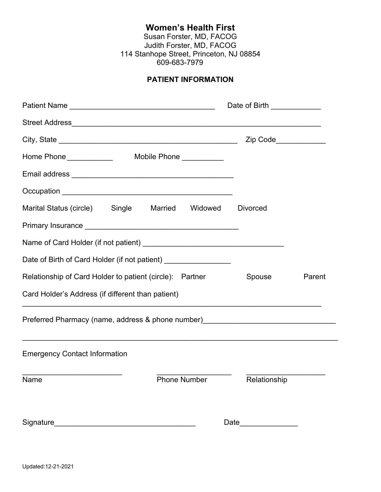# **Women's Health First**

Susan Forster, MD, FACOG Judith Forster, MD, FACOG 114 Stanhope Street, Princeton, NJ 08854 609-683-7979

## **PATIENT INFORMATION**

|                                                                                  | Date of Birth ______________ |        |  |  |  |  |
|----------------------------------------------------------------------------------|------------------------------|--------|--|--|--|--|
|                                                                                  |                              |        |  |  |  |  |
|                                                                                  | Zip Code____________         |        |  |  |  |  |
| Home Phone _____________<br>Mobile Phone __________                              |                              |        |  |  |  |  |
|                                                                                  |                              |        |  |  |  |  |
|                                                                                  |                              |        |  |  |  |  |
| Marital Status (circle) Single Married Widowed Divorced                          |                              |        |  |  |  |  |
|                                                                                  |                              |        |  |  |  |  |
|                                                                                  |                              |        |  |  |  |  |
| Date of Birth of Card Holder (if not patient) _________________                  |                              |        |  |  |  |  |
| Relationship of Card Holder to patient (circle): Partner                         | Spouse                       | Parent |  |  |  |  |
| Card Holder's Address (if different than patient)                                |                              |        |  |  |  |  |
| Preferred Pharmacy (name, address & phone number)_______________________________ |                              |        |  |  |  |  |
| <b>Emergency Contact Information</b>                                             |                              |        |  |  |  |  |
| <b>Phone Number</b><br><b>Name</b>                                               | Relationship                 |        |  |  |  |  |
|                                                                                  | Date_________________        |        |  |  |  |  |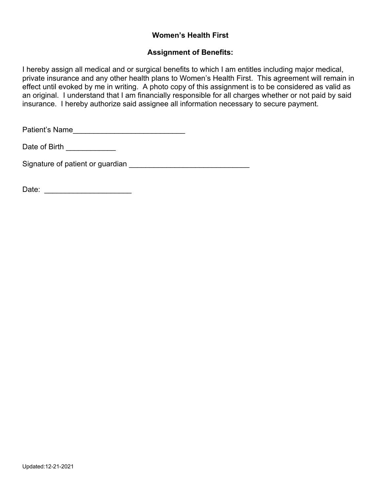### **Women's Health First**

### **Assignment of Benefits:**

I hereby assign all medical and or surgical benefits to which I am entitles including major medical, private insurance and any other health plans to Women's Health First. This agreement will remain in effect until evoked by me in writing. A photo copy of this assignment is to be considered as valid as an original. I understand that I am financially responsible for all charges whether or not paid by said insurance. I hereby authorize said assignee all information necessary to secure payment.

Patient's Name\_\_\_\_\_\_\_\_\_\_\_\_\_\_\_\_\_\_\_\_\_\_\_\_\_\_\_

Date of Birth **Exercise 20** 

Signature of patient or guardian **Example 20** 

Date: \_\_\_\_\_\_\_\_\_\_\_\_\_\_\_\_\_\_\_\_\_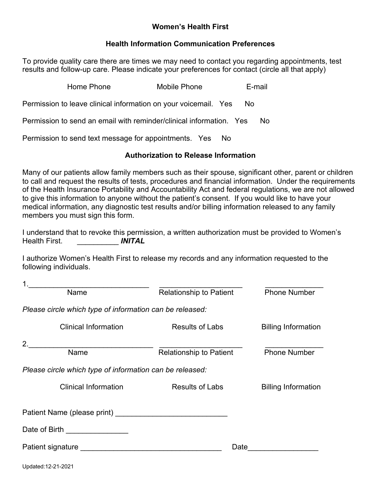### **Women's Health First**

### **Health Information Communication Preferences**

To provide quality care there are times we may need to contact you regarding appointments, test results and follow-up care. Please indicate your preferences for contact (circle all that apply)

|                                                                     | Home Phone | Mobile Phone                                                    |     | E-mail |     |
|---------------------------------------------------------------------|------------|-----------------------------------------------------------------|-----|--------|-----|
|                                                                     |            | Permission to leave clinical information on your voicemail. Yes |     | No.    |     |
| Permission to send an email with reminder/clinical information. Yes |            |                                                                 |     |        | No. |
|                                                                     |            | Permission to send text message for appointments. Yes           | No. |        |     |

### **Authorization to Release Information**

Many of our patients allow family members such as their spouse, significant other, parent or children to call and request the results of tests, procedures and financial information. Under the requirements of the Health Insurance Portability and Accountability Act and federal regulations, we are not allowed to give this information to anyone without the patient's consent. If you would like to have your medical information, any diagnostic test results and/or billing information released to any family members you must sign this form.

I understand that to revoke this permission, a written authorization must be provided to Women's Health First. \_\_\_\_\_\_\_\_\_\_ *INITAL*

I authorize Women's Health First to release my records and any information requested to the following individuals.

| 1                                                                                                                                                                                                                              |                                |                            |  |  |  |  |
|--------------------------------------------------------------------------------------------------------------------------------------------------------------------------------------------------------------------------------|--------------------------------|----------------------------|--|--|--|--|
| Name                                                                                                                                                                                                                           | <b>Relationship to Patient</b> | <b>Phone Number</b>        |  |  |  |  |
| Please circle which type of information can be released:                                                                                                                                                                       |                                |                            |  |  |  |  |
| <b>Clinical Information</b>                                                                                                                                                                                                    | <b>Results of Labs</b>         | <b>Billing Information</b> |  |  |  |  |
|                                                                                                                                                                                                                                |                                |                            |  |  |  |  |
| Name                                                                                                                                                                                                                           | <b>Relationship to Patient</b> | <b>Phone Number</b>        |  |  |  |  |
| Please circle which type of information can be released:                                                                                                                                                                       |                                |                            |  |  |  |  |
| <b>Clinical Information</b>                                                                                                                                                                                                    | <b>Results of Labs</b>         | <b>Billing Information</b> |  |  |  |  |
| Patient Name (please print) Material Patient Name (please print)                                                                                                                                                               |                                |                            |  |  |  |  |
| Date of Birth ________________                                                                                                                                                                                                 |                                |                            |  |  |  |  |
| Patient signature experience and the set of the set of the set of the set of the set of the set of the set of the set of the set of the set of the set of the set of the set of the set of the set of the set of the set of th | Date                           |                            |  |  |  |  |
|                                                                                                                                                                                                                                |                                |                            |  |  |  |  |